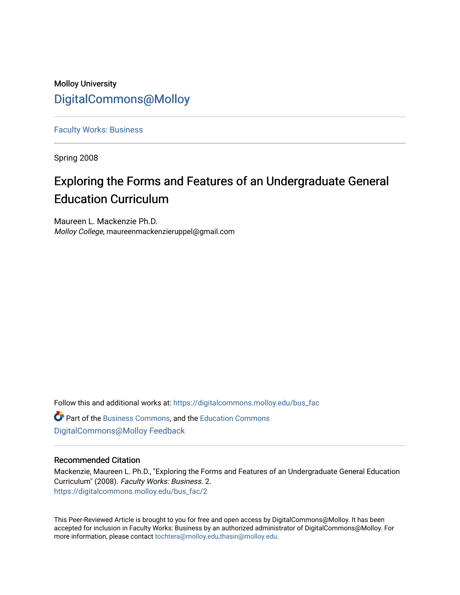# Molloy University [DigitalCommons@Molloy](https://digitalcommons.molloy.edu/)

[Faculty Works: Business](https://digitalcommons.molloy.edu/bus_fac) 

Spring 2008

# Exploring the Forms and Features of an Undergraduate General Education Curriculum

Maureen L. Mackenzie Ph.D. Molloy College, maureenmackenzieruppel@gmail.com

Follow this and additional works at: [https://digitalcommons.molloy.edu/bus\\_fac](https://digitalcommons.molloy.edu/bus_fac?utm_source=digitalcommons.molloy.edu%2Fbus_fac%2F2&utm_medium=PDF&utm_campaign=PDFCoverPages)

Part of the [Business Commons](https://network.bepress.com/hgg/discipline/622?utm_source=digitalcommons.molloy.edu%2Fbus_fac%2F2&utm_medium=PDF&utm_campaign=PDFCoverPages), and the [Education Commons](https://network.bepress.com/hgg/discipline/784?utm_source=digitalcommons.molloy.edu%2Fbus_fac%2F2&utm_medium=PDF&utm_campaign=PDFCoverPages) [DigitalCommons@Molloy Feedback](https://molloy.libwizard.com/f/dcfeedback)

## Recommended Citation

Mackenzie, Maureen L. Ph.D., "Exploring the Forms and Features of an Undergraduate General Education Curriculum" (2008). Faculty Works: Business. 2. [https://digitalcommons.molloy.edu/bus\\_fac/2](https://digitalcommons.molloy.edu/bus_fac/2?utm_source=digitalcommons.molloy.edu%2Fbus_fac%2F2&utm_medium=PDF&utm_campaign=PDFCoverPages)

This Peer-Reviewed Article is brought to you for free and open access by DigitalCommons@Molloy. It has been accepted for inclusion in Faculty Works: Business by an authorized administrator of DigitalCommons@Molloy. For more information, please contact [tochtera@molloy.edu,thasin@molloy.edu.](mailto:tochtera@molloy.edu,thasin@molloy.edu)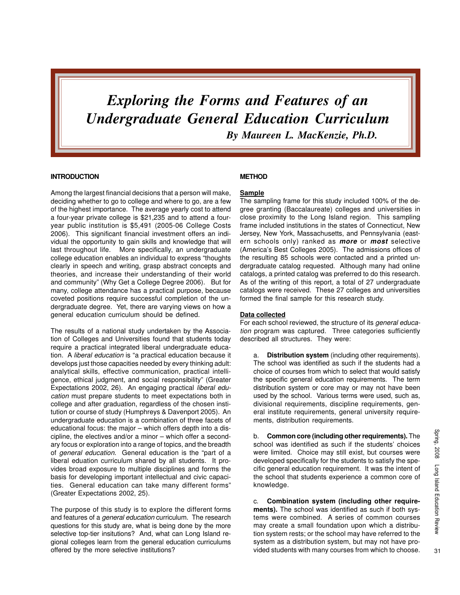# *Exploring the Forms and Features of an Undergraduate General Education Curriculum By Maureen L. MacKenzie, Ph.D.*

#### **INTRODUCTION**

Among the largest financial decisions that a person will make, deciding whether to go to college and where to go, are a few of the highest importance. The average yearly cost to attend a four-year private college is \$21,235 and to attend a fouryear public institution is \$5,491 (2005-06 College Costs 2006). This significant financial investment offers an individual the opportunity to gain skills and knowledge that will last throughout life. More specifically, an undergraduate college education enables an individual to express "thoughts clearly in speech and writing, grasp abstract concepts and theories, and increase their understanding of their world and community" (Why Get a College Degree 2006). But for many, college attendance has a practical purpose, because coveted positions require successful completion of the undergraduate degree. Yet, there are varying views on how a general education curriculum should be defined.

The results of a national study undertaken by the Association of Colleges and Universities found that students today require a practical integrated liberal undergraduate education. A liberal education is "a practical education because it develops just those capacities needed by every thinking adult: analytical skills, effective communication, practical intelligence, ethical judgment, and social responsibility" (Greater Expectations 2002, 26). An engaging practical liberal education must prepare students to meet expectations both in college and after graduation, regardless of the chosen institution or course of study (Humphreys & Davenport 2005). An undergraduate education is a combination of three facets of educational focus: the major – which offers depth into a discipline, the electives and/or a minor – which offer a secondary focus or exploration into a range of topics, and the breadth of general education. General education is the "part of a liberal eduation curriculum shared by all students. It provides broad exposure to multiple disciplines and forms the basis for developing important intellectual and civic capacities. General education can take many different forms" (Greater Expectations 2002, 25).

The purpose of this study is to explore the different forms and features of a *general education* curriculum. The research questions for this study are, what is being done by the more selective top-tier insitutions? And, what can Long Island regional colleges learn from the general education curriculums offered by the more selective institutions?

### **METHOD**

#### **Sample**

The sampling frame for this study included 100% of the degree granting (Baccalaureate) colleges and universities in close proximity to the Long Island region. This sampling frame included institutions in the states of Connecticut, New Jersey, New York, Massachusetts, and Pennsylvania (eastern schools only) ranked as **more** or **most** selective (America's Best Colleges 2005). The admissions offices of the resulting 85 schools were contacted and a printed undergraduate catalog requested. Although many had online catalogs, a printed catalog was preferred to do this research. As of the writing of this report, a total of 27 undergraduate catalogs were received. These 27 colleges and universities formed the final sample for this research study.

#### **Data collected**

For each school reviewed, the structure of its general education program was captured. Three categories sufficiently described all structures. They were:

a. **Distribution system** (including other requirements). The school was identified as such if the students had a choice of courses from which to select that would satisfy the specific general education requirements. The term distribution system or core may or may not have been used by the school. Various terms were used, such as, divisional requirements, discipline requirements, general institute requirements, general university requirements, distribution requirements.

b. **Common core (including other requirements).** The school was identified as such if the students' choices were limited. Choice may still exist, but courses were developed specifically for the students to satisfy the specific general education requirement. It was the intent of the school that students experience a common core of knowledge.

c. **Combination system (including other requirements).** The school was identified as such if both systems were combined. A series of common courses may create a small foundation upon which a distribution system rests; or the school may have referred to the system as a distribution system, but may not have provided students with many courses from which to choose.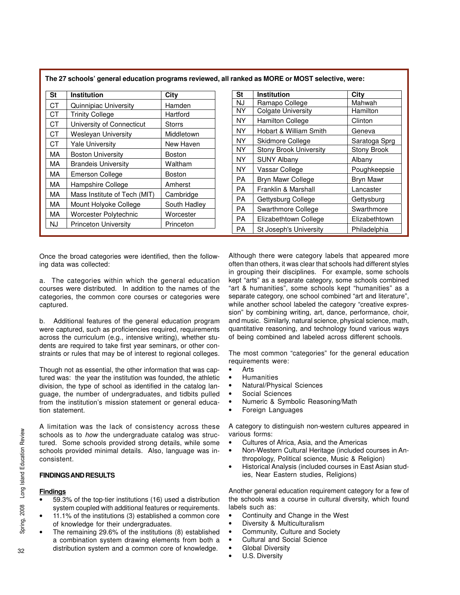| <b>St</b> | Institution                  | City          | St        | <b>Institution</b>            | City  |
|-----------|------------------------------|---------------|-----------|-------------------------------|-------|
| СT        | Quinnipiac University        | <b>Hamden</b> | NJ        | Ramapo College                | Mah   |
| <b>CT</b> | <b>Trinity College</b>       | Hartford      | <b>NY</b> | <b>Colgate University</b>     | Harr  |
| <b>CT</b> | University of Connecticut    | <b>Storrs</b> | NY.       | <b>Hamilton College</b>       | Clint |
| СT        | <b>Wesleyan University</b>   | Middletown    | <b>NY</b> | Hobart & William Smith        | Gen   |
| <b>CT</b> | <b>Yale University</b>       | New Haven     | <b>NY</b> | Skidmore College              | Sara  |
| МA        |                              |               | <b>NY</b> | <b>Stony Brook University</b> | Ston  |
|           | <b>Boston University</b>     | Boston        | <b>NY</b> | <b>SUNY Albany</b>            | Alba  |
| МA        | <b>Brandeis University</b>   | Waltham       | <b>NY</b> | Vassar College                | Pou   |
| МA        | <b>Emerson College</b>       | Boston        | PA        | <b>Bryn Mawr College</b>      | Bryn  |
| МA        | Hampshire College            | Amherst       | PA        | Franklin & Marshall           | Land  |
| МA        | Mass Institute of Tech (MIT) | Cambridge     | PA        |                               |       |
| МA        | Mount Holyoke College        | South Hadley  |           | Gettysburg College            | Gett  |
| MA        | Worcester Polytechnic        | Worcester     | <b>PA</b> | Swarthmore College            | Swa   |
| NJ.       | <b>Princeton University</b>  | Princeton     | PA        | Elizabethtown College         | Eliza |
|           |                              |               | PA        | St Joseph's University        | Phila |

Once the broad categories were identified, then the following data was collected:

a. The categories within which the general education courses were distributed. In addition to the names of the categories, the common core courses or categories were captured.

b. Additional features of the general education program were captured, such as proficiencies required, requirements across the curriculum (e.g., intensive writing), whether students are required to take first year seminars, or other constraints or rules that may be of interest to regional colleges.

Though not as essential, the other information that was captured was: the year the institution was founded, the athletic division, the type of school as identified in the catalog language, the number of undergraduates, and tidbits pulled from the institution's mission statement or general education statement.

A limitation was the lack of consistency across these schools as to how the undergraduate catalog was structured. Some schools provided strong details, while some schools provided minimal details. Also, language was inconsistent.

#### **FINDINGS AND RESULTS**

### **Findings**

- 59.3% of the top-tier institutions (16) used a distribution system coupled with additional features or requirements.
- 11.1% of the institutions (3) established a common core of knowledge for their undergraduates.
- The remaining 29.6% of the institutions (8) established a combination system drawing elements from both a distribution system and a common core of knowledge.

| St        | <b>Institution</b>            | City               |
|-----------|-------------------------------|--------------------|
| <b>NJ</b> | Ramapo College                | Mahwah             |
| NY        | <b>Colgate University</b>     | Hamilton           |
| <b>NY</b> | <b>Hamilton College</b>       | Clinton            |
| <b>NY</b> | Hobart & William Smith        | Geneva             |
| NY        | Skidmore College              | Saratoga Sprg      |
| <b>NY</b> | <b>Stony Brook University</b> | <b>Stony Brook</b> |
| <b>NY</b> | <b>SUNY Albany</b>            | Albany             |
| <b>NY</b> | Vassar College                | Poughkeepsie       |
| РA        | Bryn Mawr College             | Bryn Mawr          |
| РA        | Franklin & Marshall           | Lancaster          |
| РA        | Gettysburg College            | Gettysburg         |
| РA        | Swarthmore College            | Swarthmore         |
| РA        | Elizabethtown College         | Elizabethtown      |
| PA        | St Joseph's University        | Philadelphia       |

Although there were category labels that appeared more often than others, it was clear that schools had different styles in grouping their disciplines. For example, some schools kept "arts" as a separate category, some schools combined "art & humanities", some schools kept "humanities" as a separate category, one school combined "art and literature", while another school labeled the category "creative expression" by combining writing, art, dance, performance, choir, and music. Similarly, natural science, physical science, math, quantitative reasoning, and technology found various ways of being combined and labeled across different schools.

The most common "categories" for the general education requirements were:

- Arts
- Humanities
- Natural/Physical Sciences
- Social Sciences
- Numeric & Symbolic Reasoning/Math
- Foreign Languages

A category to distinguish non-western cultures appeared in various forms:

- Cultures of Africa, Asia, and the Americas
- Non-Western Cultural Heritage (included courses in Anthropology, Political science, Music & Religion)
- Historical Analysis (included courses in East Asian studies, Near Eastern studies, Religions)

Another general education requirement category for a few of the schools was a course in cultural diversity, which found labels such as:

- Continuity and Change in the West
- Diversity & Multiculturalism
- Community, Culture and Society
- Cultural and Social Science
- **Global Diversity**
- U.S. Diversity